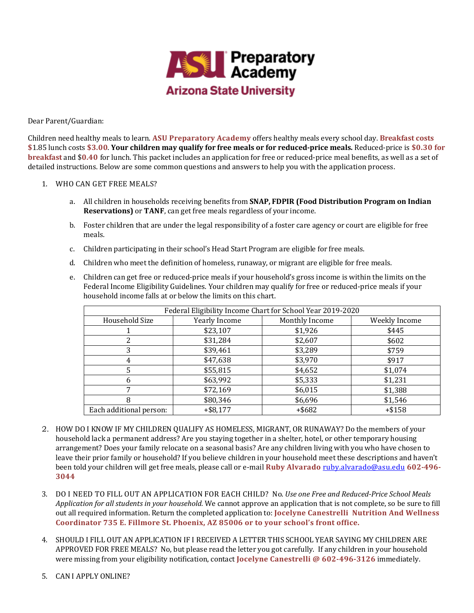

Dear Parent/Guardian:

Children need healthy meals to learn. ASU Preparatory Academy offers healthy meals every school day. Breakfast costs \$1.85 lunch costs \$3.00. Your children may qualify for free meals or for reduced-price meals. Reduced-price is \$0.30 for **breakfast** and \$0.40 for lunch. This packet includes an application for free or reduced-price meal benefits, as well as a set of detailed instructions. Below are some common questions and answers to help you with the application process.

## 1. WHO CAN GET FREE MEALS?

- a. All children in households receiving benefits from **SNAP, FDPIR (Food Distribution Program on Indian Reservations)** or **TANF**, can get free meals regardless of your income.
- b. Foster children that are under the legal responsibility of a foster care agency or court are eligible for free meals.
- c. Children participating in their school's Head Start Program are eligible for free meals.
- d. Children who meet the definition of homeless, runaway, or migrant are eligible for free meals.
- e. Children can get free or reduced-price meals if your household's gross income is within the limits on the Federal Income Eligibility Guidelines. Your children may qualify for free or reduced-price meals if your household income falls at or below the limits on this chart.

| Federal Eligibility Income Chart for School Year 2019-2020 |               |                |               |
|------------------------------------------------------------|---------------|----------------|---------------|
| Household Size                                             | Yearly Income | Monthly Income | Weekly Income |
|                                                            | \$23,107      | \$1,926        | \$445         |
|                                                            | \$31,284      | \$2,607        | \$602         |
| 3                                                          | \$39,461      | \$3,289        | \$759         |
| 4                                                          | \$47,638      | \$3,970        | \$917         |
|                                                            | \$55,815      | \$4,652        | \$1,074       |
| 6                                                          | \$63,992      | \$5,333        | \$1,231       |
| 7                                                          | \$72,169      | \$6,015        | \$1,388       |
| 8                                                          | \$80,346      | \$6,696        | \$1,546       |
| Each additional person:                                    | $+$ \$8,177   | $+$ \$682      | $+ $158$      |

- 2. HOW DO I KNOW IF MY CHILDREN QUALIFY AS HOMELESS, MIGRANT, OR RUNAWAY? Do the members of your household lack a permanent address? Are you staying together in a shelter, hotel, or other temporary housing arrangement? Does your family relocate on a seasonal basis? Are any children living with you who have chosen to leave their prior family or household? If you believe children in your household meet these descriptions and haven't been told your children will get free meals, please call or e-mail **Ruby Alvarado** ruby.alvarado@asu.edu 602-496-**3044**
- 3. DO I NEED TO FILL OUT AN APPLICATION FOR EACH CHILD? No. *Use one Free and Reduced-Price School Meals Application for all students in your household.* We cannot approve an application that is not complete, so be sure to fill out all required information. Return the completed application to: **Jocelyne Canestrelli Nutrition And Wellness** Coordinator 735 E. Fillmore St. Phoenix, AZ 85006 or to your school's front office.
- 4. SHOULD I FILL OUT AN APPLICATION IF I RECEIVED A LETTER THIS SCHOOL YEAR SAYING MY CHILDREN ARE APPROVED FOR FREE MEALS? No, but please read the letter you got carefully. If any children in your household were missing from your eligibility notification, contact **Jocelyne Canestrelli** @ 602-496-3126 immediately.
- 5. CAN I APPLY ONLINE?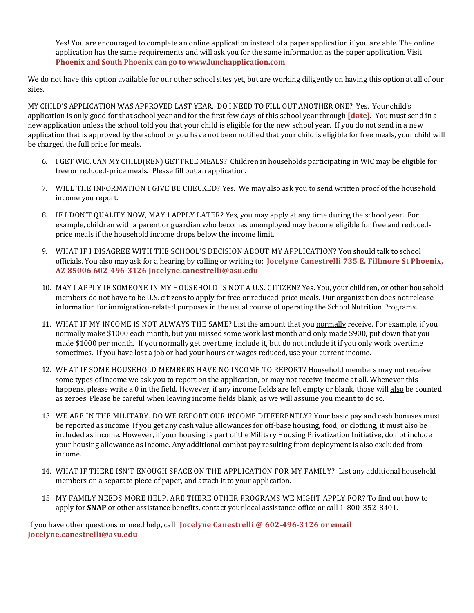Yes! You are encouraged to complete an online application instead of a paper application if you are able. The online application has the same requirements and will ask you for the same information as the paper application. Visit **Phoenix and South Phoenix can go to www.lunchapplication.com** 

We do not have this option available for our other school sites yet, but are working diligently on having this option at all of our sites. 

MY CHILD'S APPLICATION WAS APPROVED LAST YEAR. DO I NEED TO FILL OUT ANOTHER ONE? Yes. Your child's application is only good for that school year and for the first few days of this school year through **[date]**. You must send in a new application unless the school told you that your child is eligible for the new school year. If you do not send in a new application that is approved by the school or you have not been notified that your child is eligible for free meals, your child will be charged the full price for meals.

- 6. I GET WIC. CAN MY CHILD(REN) GET FREE MEALS? Children in households participating in WIC may be eligible for free or reduced-price meals. Please fill out an application.
- 7. WILL THE INFORMATION I GIVE BE CHECKED? Yes. We may also ask you to send written proof of the household income you report.
- 8. IF I DON'T QUALIFY NOW, MAY I APPLY LATER? Yes, you may apply at any time during the school year. For example, children with a parent or guardian who becomes unemployed may become eligible for free and reducedprice meals if the household income drops below the income limit.
- 9. WHAT IF I DISAGREE WITH THE SCHOOL'S DECISION ABOUT MY APPLICATION? You should talk to school officials. You also may ask for a hearing by calling or writing to: **Jocelyne Canestrelli 735 E. Fillmore St Phoenix**, **AZ 85006 602-496-3126 Jocelyne.canestrelli@asu.edu**
- 10. MAY I APPLY IF SOMEONE IN MY HOUSEHOLD IS NOT A U.S. CITIZEN? Yes. You, your children, or other household members do not have to be U.S. citizens to apply for free or reduced-price meals. Our organization does not release information for immigration-related purposes in the usual course of operating the School Nutrition Programs.
- 11. WHAT IF MY INCOME IS NOT ALWAYS THE SAME? List the amount that you normally receive. For example, if you normally make \$1000 each month, but you missed some work last month and only made \$900, put down that you made \$1000 per month. If you normally get overtime, include it, but do not include it if you only work overtime sometimes. If you have lost a job or had your hours or wages reduced, use your current income.
- 12. WHAT IF SOME HOUSEHOLD MEMBERS HAVE NO INCOME TO REPORT? Household members may not receive some types of income we ask you to report on the application, or may not receive income at all. Whenever this happens, please write a 0 in the field. However, if any income fields are left empty or blank, those will also be counted as zeroes. Please be careful when leaving income fields blank, as we will assume you meant to do so.
- 13. WE ARE IN THE MILITARY. DO WE REPORT OUR INCOME DIFFERENTLY? Your basic pay and cash bonuses must be reported as income. If you get any cash value allowances for off-base housing, food, or clothing, it must also be included as income. However, if your housing is part of the Military Housing Privatization Initiative, do not include your housing allowance as income. Any additional combat pay resulting from deployment is also excluded from income.
- 14. WHAT IF THERE ISN'T ENOUGH SPACE ON THE APPLICATION FOR MY FAMILY? List any additional household members on a separate piece of paper, and attach it to your application.
- 15. MY FAMILY NEEDS MORE HELP. ARE THERE OTHER PROGRAMS WE MIGHT APPLY FOR? To find out how to apply for **SNAP** or other assistance benefits, contact your local assistance office or call 1-800-352-8401.

If you have other questions or need help, call **Jocelyne Canestrelli**  $\omega$  602-496-3126 or email **Jocelyne.canestrelli@asu.edu**